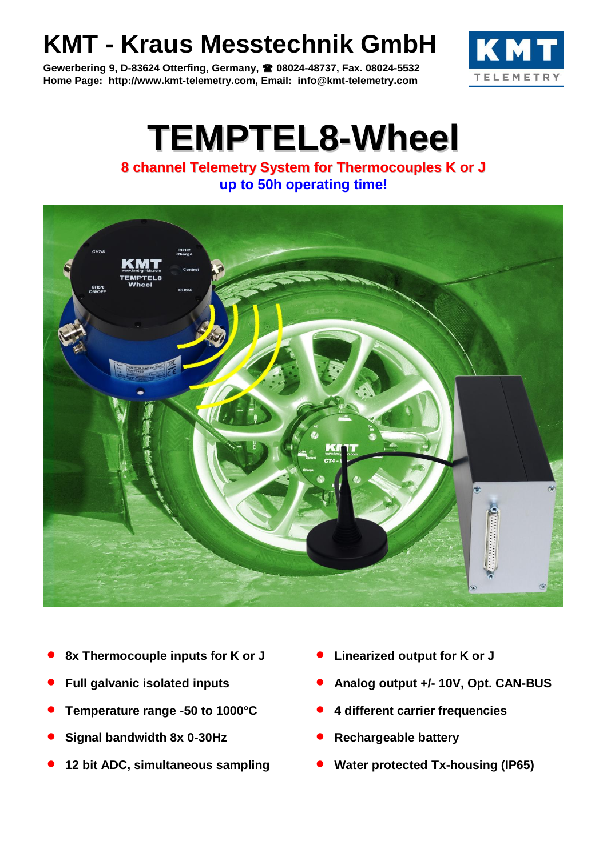## **KMT - Kraus Messtechnik GmbH**

**Gewerbering 9, D-83624 Otterfing, Germany, 08024-48737, Fax. 08024-5532 Home Page: http://www.kmt-telemetry.com, Email: info@kmt-telemetry.com**



## **TEMPTEL8-Wheel**

**8 channel Telemetry System for Thermocouples K or J up to 50h operating time!**



- **8x Thermocouple inputs for K or J Linearized output for K or J**
- 
- **Temperature range -50 to 1000°C 4 different carrier frequencies**
- **Signal bandwidth 8x 0-30Hz CONS CONS CONS CONS CONS CONS CONS CONS CONS CONS CONS CONS CONS CONS CONS CONS CONS CONS CONS CONS CONS CONS CONS CONS CONS CONS CONS CON**
- 
- 
- **Full galvanic isolated inputs • Analog output +/- 10V, Opt. CAN-BUS** 
	-
	-
- **12 bit ADC, simultaneous sampling Water protected Tx-housing (IP65)**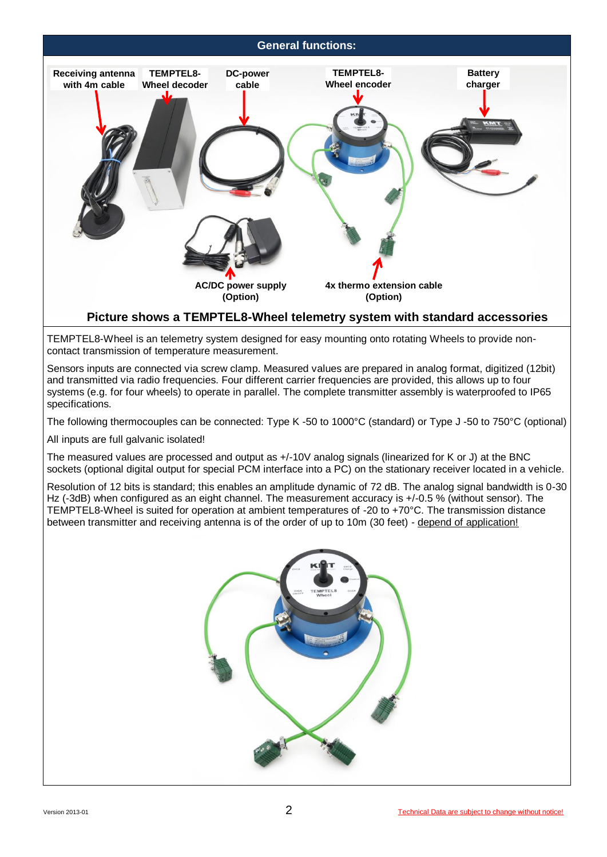## **General functions:**



TEMPTEL8-Wheel is an telemetry system designed for easy mounting onto rotating Wheels to provide noncontact transmission of temperature measurement.

Sensors inputs are connected via screw clamp. Measured values are prepared in analog format, digitized (12bit) and transmitted via radio frequencies. Four different carrier frequencies are provided, this allows up to four systems (e.g. for four wheels) to operate in parallel. The complete transmitter assembly is waterproofed to IP65 specifications.

The following thermocouples can be connected: Type K -50 to 1000°C (standard) or Type J -50 to 750°C (optional)

All inputs are full galvanic isolated!

The measured values are processed and output as  $+/-10V$  analog signals (linearized for K or J) at the BNC sockets (optional digital output for special PCM interface into a PC) on the stationary receiver located in a vehicle.

Resolution of 12 bits is standard; this enables an amplitude dynamic of 72 dB. The analog signal bandwidth is 0-30 Hz (-3dB) when configured as an eight channel. The measurement accuracy is +/-0.5 % (without sensor). The TEMPTEL8-Wheel is suited for operation at ambient temperatures of -20 to +70°C. The transmission distance between transmitter and receiving antenna is of the order of up to 10m (30 feet) - depend of application!

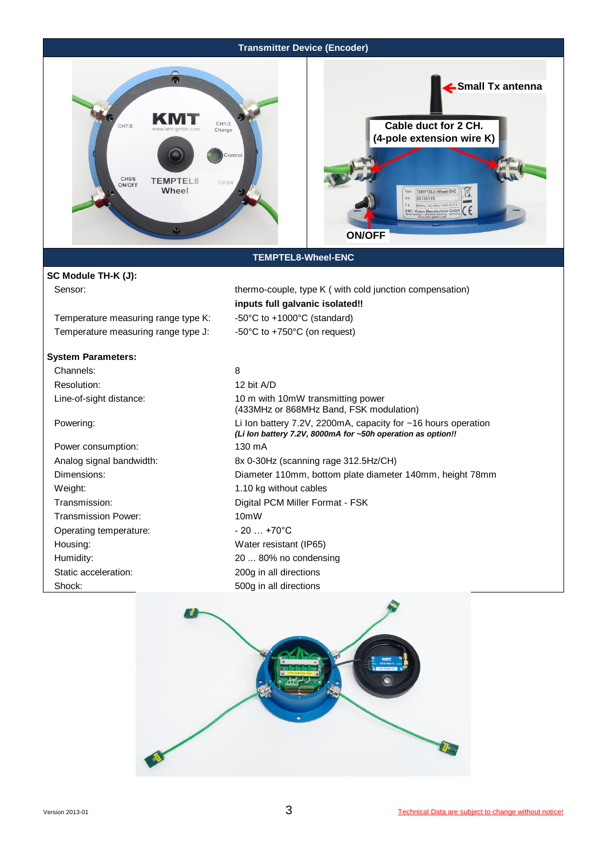